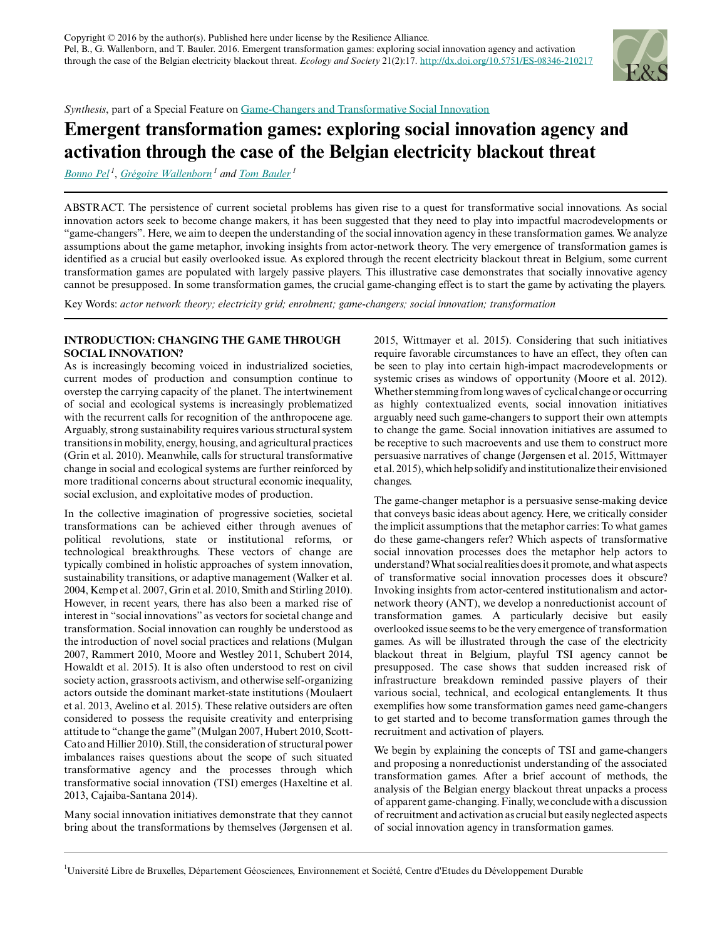

*Synthesis*, part of a Special Feature on [Game-Changers and Transformative Social Innovation](http://www.ecologyandsociety.org/viewissue.php?sf=114)

# **Emergent transformation games: exploring social innovation agency and activation through the case of the Belgian electricity blackout threat**

*[Bonno Pel](mailto:Bonno.Pel@ulb.ac.be)<sup>1</sup>* , *[Grégoire Wallenborn](mailto:gwallenb@ulb.ac.be)<sup>1</sup> and [Tom Bauler](mailto:tbauler@ulb.ac.be)<sup>1</sup>*

ABSTRACT. The persistence of current societal problems has given rise to a quest for transformative social innovations. As social innovation actors seek to become change makers, it has been suggested that they need to play into impactful macrodevelopments or "game-changers". Here, we aim to deepen the understanding of the social innovation agency in these transformation games. We analyze assumptions about the game metaphor, invoking insights from actor-network theory. The very emergence of transformation games is identified as a crucial but easily overlooked issue. As explored through the recent electricity blackout threat in Belgium, some current transformation games are populated with largely passive players. This illustrative case demonstrates that socially innovative agency cannot be presupposed. In some transformation games, the crucial game-changing effect is to start the game by activating the players.

Key Words: *actor network theory; electricity grid; enrolment; game-changers; social innovation; transformation*

## **INTRODUCTION: CHANGING THE GAME THROUGH SOCIAL INNOVATION?**

As is increasingly becoming voiced in industrialized societies, current modes of production and consumption continue to overstep the carrying capacity of the planet. The intertwinement of social and ecological systems is increasingly problematized with the recurrent calls for recognition of the anthropocene age. Arguably, strong sustainability requires various structural system transitions in mobility, energy, housing, and agricultural practices (Grin et al. 2010). Meanwhile, calls for structural transformative change in social and ecological systems are further reinforced by more traditional concerns about structural economic inequality, social exclusion, and exploitative modes of production.

In the collective imagination of progressive societies, societal transformations can be achieved either through avenues of political revolutions, state or institutional reforms, or technological breakthroughs. These vectors of change are typically combined in holistic approaches of system innovation, sustainability transitions, or adaptive management (Walker et al. 2004, Kemp et al. 2007, Grin et al. 2010, Smith and Stirling 2010). However, in recent years, there has also been a marked rise of interest in "social innovations" as vectors for societal change and transformation. Social innovation can roughly be understood as the introduction of novel social practices and relations (Mulgan 2007, Rammert 2010, Moore and Westley 2011, Schubert 2014, Howaldt et al. 2015). It is also often understood to rest on civil society action, grassroots activism, and otherwise self-organizing actors outside the dominant market-state institutions (Moulaert et al. 2013, Avelino et al. 2015). These relative outsiders are often considered to possess the requisite creativity and enterprising attitude to "change the game" (Mulgan 2007, Hubert 2010, Scott-Cato and Hillier 2010). Still, the consideration of structural power imbalances raises questions about the scope of such situated transformative agency and the processes through which transformative social innovation (TSI) emerges (Haxeltine et al. 2013, Cajaiba-Santana 2014).

Many social innovation initiatives demonstrate that they cannot bring about the transformations by themselves (Jørgensen et al. 2015, Wittmayer et al. 2015). Considering that such initiatives require favorable circumstances to have an effect, they often can be seen to play into certain high-impact macrodevelopments or systemic crises as windows of opportunity (Moore et al. 2012). Whether stemming from long waves of cyclical change or occurring as highly contextualized events, social innovation initiatives arguably need such game-changers to support their own attempts to change the game. Social innovation initiatives are assumed to be receptive to such macroevents and use them to construct more persuasive narratives of change (Jørgensen et al. 2015, Wittmayer et al. 2015), which help solidify and institutionalize their envisioned changes.

The game-changer metaphor is a persuasive sense-making device that conveys basic ideas about agency. Here, we critically consider the implicit assumptions that the metaphor carries: To what games do these game-changers refer? Which aspects of transformative social innovation processes does the metaphor help actors to understand? What social realities does it promote, and what aspects of transformative social innovation processes does it obscure? Invoking insights from actor-centered institutionalism and actornetwork theory (ANT), we develop a nonreductionist account of transformation games. A particularly decisive but easily overlooked issue seems to be the very emergence of transformation games. As will be illustrated through the case of the electricity blackout threat in Belgium, playful TSI agency cannot be presupposed. The case shows that sudden increased risk of infrastructure breakdown reminded passive players of their various social, technical, and ecological entanglements. It thus exemplifies how some transformation games need game-changers to get started and to become transformation games through the recruitment and activation of players.

We begin by explaining the concepts of TSI and game-changers and proposing a nonreductionist understanding of the associated transformation games. After a brief account of methods, the analysis of the Belgian energy blackout threat unpacks a process of apparent game-changing. Finally, we conclude with a discussion of recruitment and activation as crucial but easily neglected aspects of social innovation agency in transformation games.

<sup>1</sup>Université Libre de Bruxelles, Département Géosciences, Environnement et Société, Centre d'Etudes du Développement Durable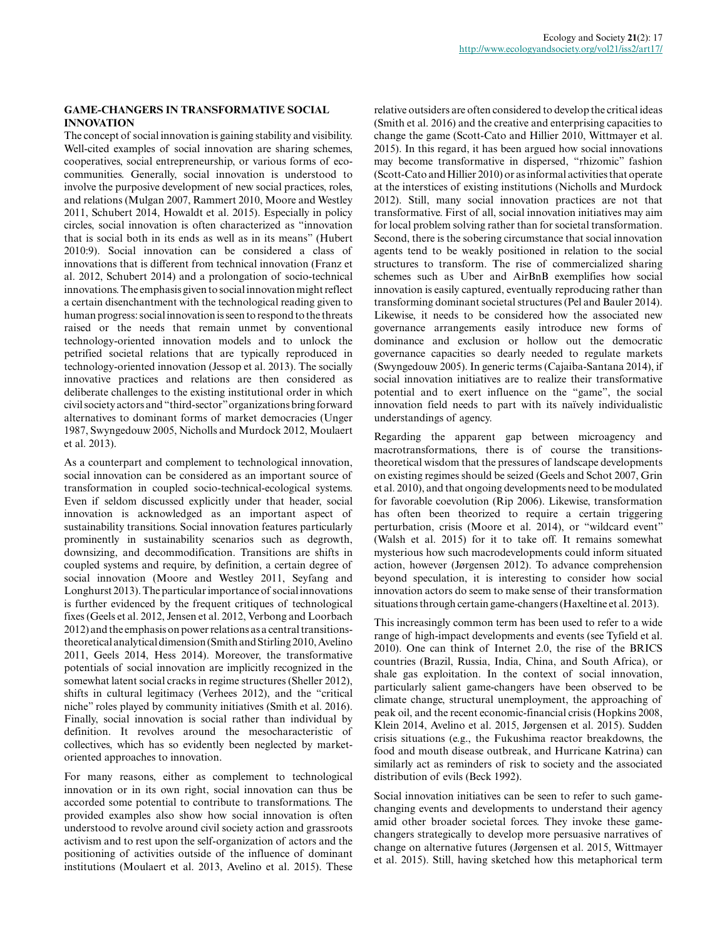#### **GAME-CHANGERS IN TRANSFORMATIVE SOCIAL INNOVATION**

The concept of social innovation is gaining stability and visibility. Well-cited examples of social innovation are sharing schemes, cooperatives, social entrepreneurship, or various forms of ecocommunities. Generally, social innovation is understood to involve the purposive development of new social practices, roles, and relations (Mulgan 2007, Rammert 2010, Moore and Westley 2011, Schubert 2014, Howaldt et al. 2015). Especially in policy circles, social innovation is often characterized as "innovation that is social both in its ends as well as in its means" (Hubert 2010:9). Social innovation can be considered a class of innovations that is different from technical innovation (Franz et al. 2012, Schubert 2014) and a prolongation of socio-technical innovations. The emphasis given to social innovation might reflect a certain disenchantment with the technological reading given to human progress: social innovation is seen to respond to the threats raised or the needs that remain unmet by conventional technology-oriented innovation models and to unlock the petrified societal relations that are typically reproduced in technology-oriented innovation (Jessop et al. 2013). The socially innovative practices and relations are then considered as deliberate challenges to the existing institutional order in which civil society actors and "third-sector" organizations bring forward alternatives to dominant forms of market democracies (Unger 1987, Swyngedouw 2005, Nicholls and Murdock 2012, Moulaert et al. 2013).

As a counterpart and complement to technological innovation, social innovation can be considered as an important source of transformation in coupled socio-technical-ecological systems. Even if seldom discussed explicitly under that header, social innovation is acknowledged as an important aspect of sustainability transitions. Social innovation features particularly prominently in sustainability scenarios such as degrowth, downsizing, and decommodification. Transitions are shifts in coupled systems and require, by definition, a certain degree of social innovation (Moore and Westley 2011, Seyfang and Longhurst 2013). The particular importance of social innovations is further evidenced by the frequent critiques of technological fixes (Geels et al. 2012, Jensen et al. 2012, Verbong and Loorbach 2012) and the emphasis on power relations as a central transitionstheoretical analytical dimension (Smith and Stirling 2010, Avelino 2011, Geels 2014, Hess 2014). Moreover, the transformative potentials of social innovation are implicitly recognized in the somewhat latent social cracks in regime structures (Sheller 2012), shifts in cultural legitimacy (Verhees 2012), and the "critical niche" roles played by community initiatives (Smith et al. 2016). Finally, social innovation is social rather than individual by definition. It revolves around the mesocharacteristic of collectives, which has so evidently been neglected by marketoriented approaches to innovation.

For many reasons, either as complement to technological innovation or in its own right, social innovation can thus be accorded some potential to contribute to transformations. The provided examples also show how social innovation is often understood to revolve around civil society action and grassroots activism and to rest upon the self-organization of actors and the positioning of activities outside of the influence of dominant institutions (Moulaert et al. 2013, Avelino et al. 2015). These

relative outsiders are often considered to develop the critical ideas (Smith et al. 2016) and the creative and enterprising capacities to change the game (Scott-Cato and Hillier 2010, Wittmayer et al. 2015). In this regard, it has been argued how social innovations may become transformative in dispersed, "rhizomic" fashion (Scott-Cato and Hillier 2010) or as informal activities that operate at the interstices of existing institutions (Nicholls and Murdock 2012). Still, many social innovation practices are not that transformative. First of all, social innovation initiatives may aim for local problem solving rather than for societal transformation. Second, there is the sobering circumstance that social innovation agents tend to be weakly positioned in relation to the social structures to transform. The rise of commercialized sharing schemes such as Uber and AirBnB exemplifies how social innovation is easily captured, eventually reproducing rather than transforming dominant societal structures (Pel and Bauler 2014). Likewise, it needs to be considered how the associated new governance arrangements easily introduce new forms of dominance and exclusion or hollow out the democratic governance capacities so dearly needed to regulate markets (Swyngedouw 2005). In generic terms (Cajaiba-Santana 2014), if social innovation initiatives are to realize their transformative potential and to exert influence on the "game", the social innovation field needs to part with its naïvely individualistic understandings of agency.

Regarding the apparent gap between microagency and macrotransformations, there is of course the transitionstheoretical wisdom that the pressures of landscape developments on existing regimes should be seized (Geels and Schot 2007, Grin et al. 2010), and that ongoing developments need to be modulated for favorable coevolution (Rip 2006). Likewise, transformation has often been theorized to require a certain triggering perturbation, crisis (Moore et al. 2014), or "wildcard event" (Walsh et al. 2015) for it to take off. It remains somewhat mysterious how such macrodevelopments could inform situated action, however (Jørgensen 2012). To advance comprehension beyond speculation, it is interesting to consider how social innovation actors do seem to make sense of their transformation situations through certain game-changers (Haxeltine et al. 2013).

This increasingly common term has been used to refer to a wide range of high-impact developments and events (see Tyfield et al. 2010). One can think of Internet 2.0, the rise of the BRICS countries (Brazil, Russia, India, China, and South Africa), or shale gas exploitation. In the context of social innovation, particularly salient game-changers have been observed to be climate change, structural unemployment, the approaching of peak oil, and the recent economic-financial crisis (Hopkins 2008, Klein 2014, Avelino et al. 2015, Jørgensen et al. 2015). Sudden crisis situations (e.g., the Fukushima reactor breakdowns, the food and mouth disease outbreak, and Hurricane Katrina) can similarly act as reminders of risk to society and the associated distribution of evils (Beck 1992).

Social innovation initiatives can be seen to refer to such gamechanging events and developments to understand their agency amid other broader societal forces. They invoke these gamechangers strategically to develop more persuasive narratives of change on alternative futures (Jørgensen et al. 2015, Wittmayer et al. 2015). Still, having sketched how this metaphorical term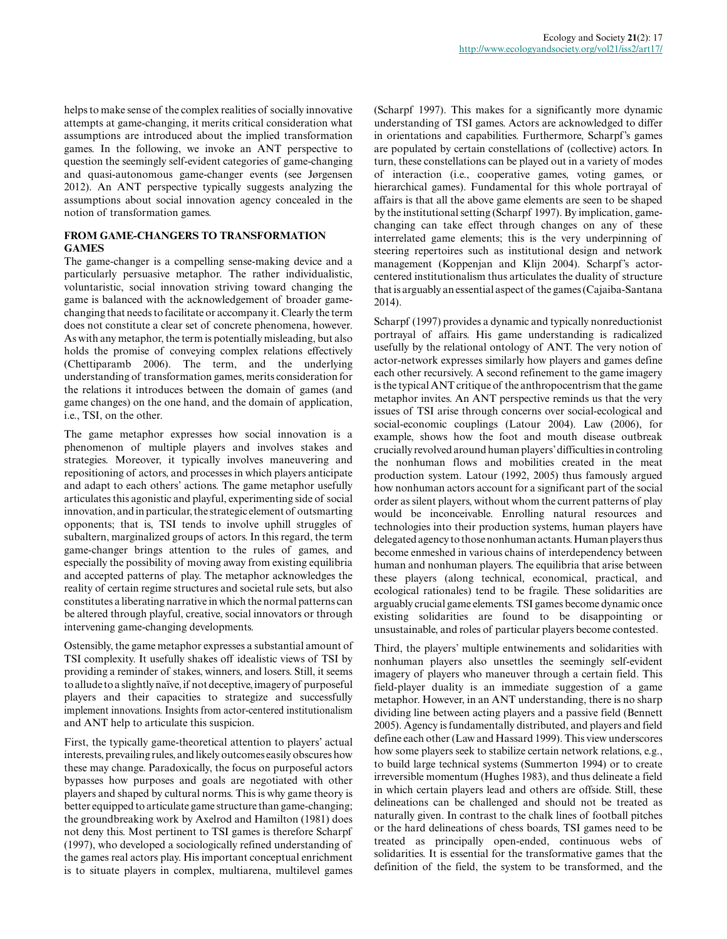helps to make sense of the complex realities of socially innovative attempts at game-changing, it merits critical consideration what assumptions are introduced about the implied transformation games. In the following, we invoke an ANT perspective to question the seemingly self-evident categories of game-changing and quasi-autonomous game-changer events (see Jørgensen 2012). An ANT perspective typically suggests analyzing the assumptions about social innovation agency concealed in the notion of transformation games.

# **FROM GAME-CHANGERS TO TRANSFORMATION GAMES**

The game-changer is a compelling sense-making device and a particularly persuasive metaphor. The rather individualistic, voluntaristic, social innovation striving toward changing the game is balanced with the acknowledgement of broader gamechanging that needs to facilitate or accompany it. Clearly the term does not constitute a clear set of concrete phenomena, however. As with any metaphor, the term is potentially misleading, but also holds the promise of conveying complex relations effectively (Chettiparamb 2006). The term, and the underlying understanding of transformation games, merits consideration for the relations it introduces between the domain of games (and game changes) on the one hand, and the domain of application, i.e., TSI, on the other.

The game metaphor expresses how social innovation is a phenomenon of multiple players and involves stakes and strategies. Moreover, it typically involves maneuvering and repositioning of actors, and processes in which players anticipate and adapt to each others' actions. The game metaphor usefully articulates this agonistic and playful, experimenting side of social innovation, and in particular, the strategic element of outsmarting opponents; that is, TSI tends to involve uphill struggles of subaltern, marginalized groups of actors. In this regard, the term game-changer brings attention to the rules of games, and especially the possibility of moving away from existing equilibria and accepted patterns of play. The metaphor acknowledges the reality of certain regime structures and societal rule sets, but also constitutes a liberating narrative in which the normal patterns can be altered through playful, creative, social innovators or through intervening game-changing developments.

Ostensibly, the game metaphor expresses a substantial amount of TSI complexity. It usefully shakes off idealistic views of TSI by providing a reminder of stakes, winners, and losers. Still, it seems to allude to a slightly naïve, if not deceptive, imagery of purposeful players and their capacities to strategize and successfully implement innovations. Insights from actor-centered institutionalism and ANT help to articulate this suspicion.

First, the typically game-theoretical attention to players' actual interests, prevailing rules, and likely outcomes easily obscures how these may change. Paradoxically, the focus on purposeful actors bypasses how purposes and goals are negotiated with other players and shaped by cultural norms. This is why game theory is better equipped to articulate game structure than game-changing; the groundbreaking work by Axelrod and Hamilton (1981) does not deny this. Most pertinent to TSI games is therefore Scharpf (1997), who developed a sociologically refined understanding of the games real actors play. His important conceptual enrichment is to situate players in complex, multiarena, multilevel games

(Scharpf 1997). This makes for a significantly more dynamic understanding of TSI games. Actors are acknowledged to differ in orientations and capabilities. Furthermore, Scharpf's games are populated by certain constellations of (collective) actors. In turn, these constellations can be played out in a variety of modes of interaction (i.e., cooperative games, voting games, or hierarchical games). Fundamental for this whole portrayal of affairs is that all the above game elements are seen to be shaped by the institutional setting (Scharpf 1997). By implication, gamechanging can take effect through changes on any of these interrelated game elements; this is the very underpinning of steering repertoires such as institutional design and network management (Koppenjan and Klijn 2004). Scharpf's actorcentered institutionalism thus articulates the duality of structure that is arguably an essential aspect of the games (Cajaiba-Santana 2014).

Scharpf (1997) provides a dynamic and typically nonreductionist portrayal of affairs. His game understanding is radicalized usefully by the relational ontology of ANT. The very notion of actor-network expresses similarly how players and games define each other recursively. A second refinement to the game imagery is the typical ANT critique of the anthropocentrism that the game metaphor invites. An ANT perspective reminds us that the very issues of TSI arise through concerns over social-ecological and social-economic couplings (Latour 2004). Law (2006), for example, shows how the foot and mouth disease outbreak crucially revolved around human players' difficulties in controling the nonhuman flows and mobilities created in the meat production system. Latour (1992, 2005) thus famously argued how nonhuman actors account for a significant part of the social order as silent players, without whom the current patterns of play would be inconceivable. Enrolling natural resources and technologies into their production systems, human players have delegated agency to those nonhuman actants. Human players thus become enmeshed in various chains of interdependency between human and nonhuman players. The equilibria that arise between these players (along technical, economical, practical, and ecological rationales) tend to be fragile. These solidarities are arguably crucial game elements. TSI games become dynamic once existing solidarities are found to be disappointing or unsustainable, and roles of particular players become contested.

Third, the players' multiple entwinements and solidarities with nonhuman players also unsettles the seemingly self-evident imagery of players who maneuver through a certain field. This field-player duality is an immediate suggestion of a game metaphor. However, in an ANT understanding, there is no sharp dividing line between acting players and a passive field (Bennett 2005). Agency is fundamentally distributed, and players and field define each other (Law and Hassard 1999). This view underscores how some players seek to stabilize certain network relations, e.g., to build large technical systems (Summerton 1994) or to create irreversible momentum (Hughes 1983), and thus delineate a field in which certain players lead and others are offside. Still, these delineations can be challenged and should not be treated as naturally given. In contrast to the chalk lines of football pitches or the hard delineations of chess boards, TSI games need to be treated as principally open-ended, continuous webs of solidarities. It is essential for the transformative games that the definition of the field, the system to be transformed, and the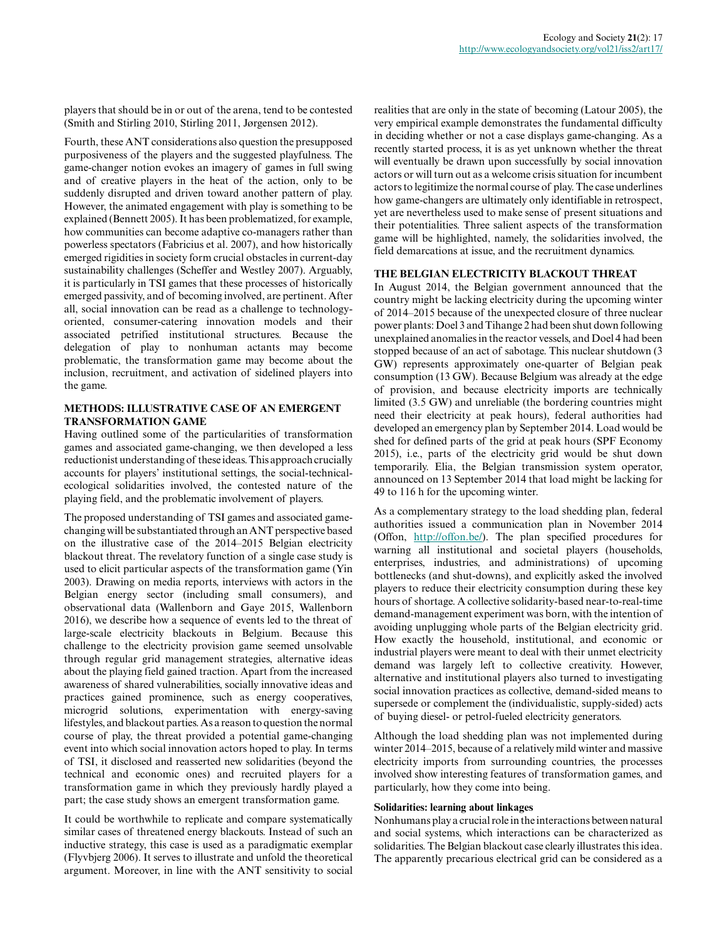players that should be in or out of the arena, tend to be contested (Smith and Stirling 2010, Stirling 2011, Jørgensen 2012).

Fourth, these ANT considerations also question the presupposed purposiveness of the players and the suggested playfulness. The game-changer notion evokes an imagery of games in full swing and of creative players in the heat of the action, only to be suddenly disrupted and driven toward another pattern of play. However, the animated engagement with play is something to be explained (Bennett 2005). It has been problematized, for example, how communities can become adaptive co-managers rather than powerless spectators (Fabricius et al. 2007), and how historically emerged rigidities in society form crucial obstacles in current-day sustainability challenges (Scheffer and Westley 2007). Arguably, it is particularly in TSI games that these processes of historically emerged passivity, and of becoming involved, are pertinent. After all, social innovation can be read as a challenge to technologyoriented, consumer-catering innovation models and their associated petrified institutional structures. Because the delegation of play to nonhuman actants may become problematic, the transformation game may become about the inclusion, recruitment, and activation of sidelined players into the game.

# **METHODS: ILLUSTRATIVE CASE OF AN EMERGENT TRANSFORMATION GAME**

Having outlined some of the particularities of transformation games and associated game-changing, we then developed a less reductionist understanding of these ideas. This approach crucially accounts for players' institutional settings, the social-technicalecological solidarities involved, the contested nature of the playing field, and the problematic involvement of players.

The proposed understanding of TSI games and associated gamechanging will be substantiated through an ANT perspective based on the illustrative case of the 2014–2015 Belgian electricity blackout threat. The revelatory function of a single case study is used to elicit particular aspects of the transformation game (Yin 2003). Drawing on media reports, interviews with actors in the Belgian energy sector (including small consumers), and observational data (Wallenborn and Gaye 2015, Wallenborn 2016), we describe how a sequence of events led to the threat of large-scale electricity blackouts in Belgium. Because this challenge to the electricity provision game seemed unsolvable through regular grid management strategies, alternative ideas about the playing field gained traction. Apart from the increased awareness of shared vulnerabilities, socially innovative ideas and practices gained prominence, such as energy cooperatives, microgrid solutions, experimentation with energy-saving lifestyles, and blackout parties. As a reason to question the normal course of play, the threat provided a potential game-changing event into which social innovation actors hoped to play. In terms of TSI, it disclosed and reasserted new solidarities (beyond the technical and economic ones) and recruited players for a transformation game in which they previously hardly played a part; the case study shows an emergent transformation game.

It could be worthwhile to replicate and compare systematically similar cases of threatened energy blackouts. Instead of such an inductive strategy, this case is used as a paradigmatic exemplar (Flyvbjerg 2006). It serves to illustrate and unfold the theoretical argument. Moreover, in line with the ANT sensitivity to social

realities that are only in the state of becoming (Latour 2005), the very empirical example demonstrates the fundamental difficulty in deciding whether or not a case displays game-changing. As a recently started process, it is as yet unknown whether the threat will eventually be drawn upon successfully by social innovation actors or will turn out as a welcome crisis situation for incumbent actors to legitimize the normal course of play. The case underlines how game-changers are ultimately only identifiable in retrospect, yet are nevertheless used to make sense of present situations and their potentialities. Three salient aspects of the transformation game will be highlighted, namely, the solidarities involved, the field demarcations at issue, and the recruitment dynamics.

## **THE BELGIAN ELECTRICITY BLACKOUT THREAT**

In August 2014, the Belgian government announced that the country might be lacking electricity during the upcoming winter of 2014–2015 because of the unexpected closure of three nuclear power plants: Doel 3 and Tihange 2 had been shut down following unexplained anomalies in the reactor vessels, and Doel 4 had been stopped because of an act of sabotage. This nuclear shutdown (3 GW) represents approximately one-quarter of Belgian peak consumption (13 GW). Because Belgium was already at the edge of provision, and because electricity imports are technically limited (3.5 GW) and unreliable (the bordering countries might need their electricity at peak hours), federal authorities had developed an emergency plan by September 2014. Load would be shed for defined parts of the grid at peak hours (SPF Economy 2015), i.e., parts of the electricity grid would be shut down temporarily. Elia, the Belgian transmission system operator, announced on 13 September 2014 that load might be lacking for 49 to 116 h for the upcoming winter.

As a complementary strategy to the load shedding plan, federal authorities issued a communication plan in November 2014 (Offon, <http://offon.be/>). The plan specified procedures for warning all institutional and societal players (households, enterprises, industries, and administrations) of upcoming bottlenecks (and shut-downs), and explicitly asked the involved players to reduce their electricity consumption during these key hours of shortage. A collective solidarity-based near-to-real-time demand-management experiment was born, with the intention of avoiding unplugging whole parts of the Belgian electricity grid. How exactly the household, institutional, and economic or industrial players were meant to deal with their unmet electricity demand was largely left to collective creativity. However, alternative and institutional players also turned to investigating social innovation practices as collective, demand-sided means to supersede or complement the (individualistic, supply-sided) acts of buying diesel- or petrol-fueled electricity generators.

Although the load shedding plan was not implemented during winter 2014–2015, because of a relatively mild winter and massive electricity imports from surrounding countries, the processes involved show interesting features of transformation games, and particularly, how they come into being.

#### **Solidarities: learning about linkages**

Nonhumans play a crucial role in the interactions between natural and social systems, which interactions can be characterized as solidarities. The Belgian blackout case clearly illustrates this idea. The apparently precarious electrical grid can be considered as a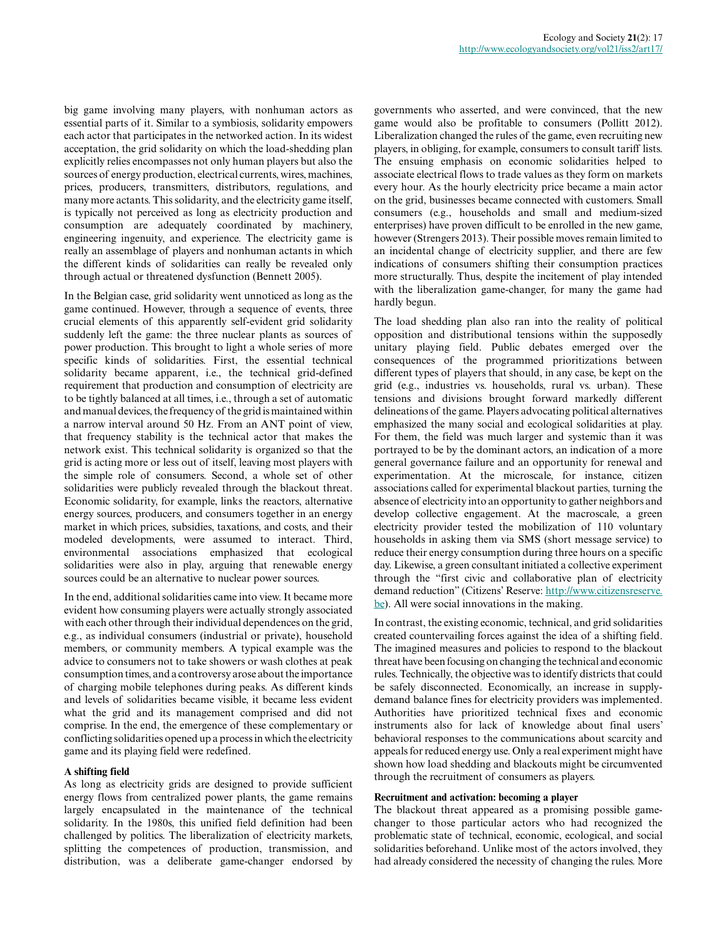big game involving many players, with nonhuman actors as essential parts of it. Similar to a symbiosis, solidarity empowers each actor that participates in the networked action. In its widest acceptation, the grid solidarity on which the load-shedding plan explicitly relies encompasses not only human players but also the sources of energy production, electrical currents, wires, machines, prices, producers, transmitters, distributors, regulations, and many more actants. This solidarity, and the electricity game itself, is typically not perceived as long as electricity production and consumption are adequately coordinated by machinery, engineering ingenuity, and experience. The electricity game is really an assemblage of players and nonhuman actants in which the different kinds of solidarities can really be revealed only through actual or threatened dysfunction (Bennett 2005).

In the Belgian case, grid solidarity went unnoticed as long as the game continued. However, through a sequence of events, three crucial elements of this apparently self-evident grid solidarity suddenly left the game: the three nuclear plants as sources of power production. This brought to light a whole series of more specific kinds of solidarities. First, the essential technical solidarity became apparent, i.e., the technical grid-defined requirement that production and consumption of electricity are to be tightly balanced at all times, i.e., through a set of automatic and manual devices, the frequency of the grid is maintained within a narrow interval around 50 Hz. From an ANT point of view, that frequency stability is the technical actor that makes the network exist. This technical solidarity is organized so that the grid is acting more or less out of itself, leaving most players with the simple role of consumers. Second, a whole set of other solidarities were publicly revealed through the blackout threat. Economic solidarity, for example, links the reactors, alternative energy sources, producers, and consumers together in an energy market in which prices, subsidies, taxations, and costs, and their modeled developments, were assumed to interact. Third, environmental associations emphasized that ecological solidarities were also in play, arguing that renewable energy sources could be an alternative to nuclear power sources.

In the end, additional solidarities came into view. It became more evident how consuming players were actually strongly associated with each other through their individual dependences on the grid, e.g., as individual consumers (industrial or private), household members, or community members. A typical example was the advice to consumers not to take showers or wash clothes at peak consumption times, and a controversy arose about the importance of charging mobile telephones during peaks. As different kinds and levels of solidarities became visible, it became less evident what the grid and its management comprised and did not comprise. In the end, the emergence of these complementary or conflicting solidarities opened up a process in which the electricity game and its playing field were redefined.

#### **A shifting field**

As long as electricity grids are designed to provide sufficient energy flows from centralized power plants, the game remains largely encapsulated in the maintenance of the technical solidarity. In the 1980s, this unified field definition had been challenged by politics. The liberalization of electricity markets, splitting the competences of production, transmission, and distribution, was a deliberate game-changer endorsed by governments who asserted, and were convinced, that the new game would also be profitable to consumers (Pollitt 2012). Liberalization changed the rules of the game, even recruiting new players, in obliging, for example, consumers to consult tariff lists. The ensuing emphasis on economic solidarities helped to associate electrical flows to trade values as they form on markets every hour. As the hourly electricity price became a main actor on the grid, businesses became connected with customers. Small consumers (e.g., households and small and medium-sized enterprises) have proven difficult to be enrolled in the new game, however (Strengers 2013). Their possible moves remain limited to an incidental change of electricity supplier, and there are few indications of consumers shifting their consumption practices more structurally. Thus, despite the incitement of play intended with the liberalization game-changer, for many the game had hardly begun.

The load shedding plan also ran into the reality of political opposition and distributional tensions within the supposedly unitary playing field. Public debates emerged over the consequences of the programmed prioritizations between different types of players that should, in any case, be kept on the grid (e.g., industries vs. households, rural vs. urban). These tensions and divisions brought forward markedly different delineations of the game. Players advocating political alternatives emphasized the many social and ecological solidarities at play. For them, the field was much larger and systemic than it was portrayed to be by the dominant actors, an indication of a more general governance failure and an opportunity for renewal and experimentation. At the microscale, for instance, citizen associations called for experimental blackout parties, turning the absence of electricity into an opportunity to gather neighbors and develop collective engagement. At the macroscale, a green electricity provider tested the mobilization of 110 voluntary households in asking them via SMS (short message service) to reduce their energy consumption during three hours on a specific day. Likewise, a green consultant initiated a collective experiment through the "first civic and collaborative plan of electricity demand reduction" (Citizens' Reserve: [http://www.citizensreserve.](http://www.citizensreserve.be/) [be\)](http://www.citizensreserve.be/). All were social innovations in the making.

In contrast, the existing economic, technical, and grid solidarities created countervailing forces against the idea of a shifting field. The imagined measures and policies to respond to the blackout threat have been focusing on changing the technical and economic rules. Technically, the objective was to identify districts that could be safely disconnected. Economically, an increase in supplydemand balance fines for electricity providers was implemented. Authorities have prioritized technical fixes and economic instruments also for lack of knowledge about final users' behavioral responses to the communications about scarcity and appeals for reduced energy use. Only a real experiment might have shown how load shedding and blackouts might be circumvented through the recruitment of consumers as players.

#### **Recruitment and activation: becoming a player**

The blackout threat appeared as a promising possible gamechanger to those particular actors who had recognized the problematic state of technical, economic, ecological, and social solidarities beforehand. Unlike most of the actors involved, they had already considered the necessity of changing the rules. More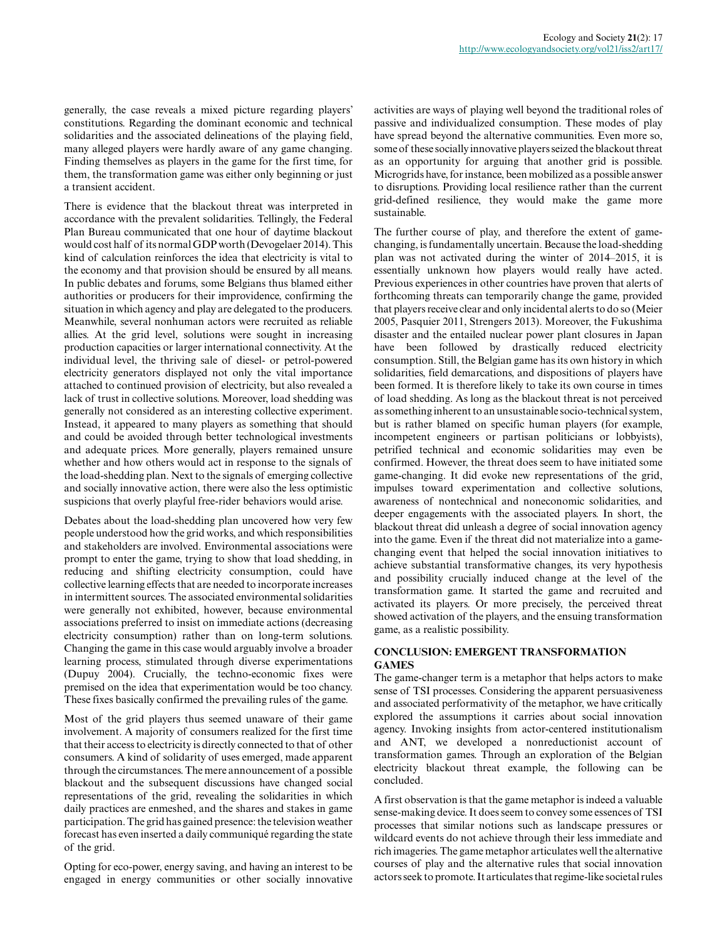generally, the case reveals a mixed picture regarding players' constitutions. Regarding the dominant economic and technical solidarities and the associated delineations of the playing field, many alleged players were hardly aware of any game changing. Finding themselves as players in the game for the first time, for them, the transformation game was either only beginning or just a transient accident.

There is evidence that the blackout threat was interpreted in accordance with the prevalent solidarities. Tellingly, the Federal Plan Bureau communicated that one hour of daytime blackout would cost half of its normal GDP worth (Devogelaer 2014). This kind of calculation reinforces the idea that electricity is vital to the economy and that provision should be ensured by all means. In public debates and forums, some Belgians thus blamed either authorities or producers for their improvidence, confirming the situation in which agency and play are delegated to the producers. Meanwhile, several nonhuman actors were recruited as reliable allies. At the grid level, solutions were sought in increasing production capacities or larger international connectivity. At the individual level, the thriving sale of diesel- or petrol-powered electricity generators displayed not only the vital importance attached to continued provision of electricity, but also revealed a lack of trust in collective solutions. Moreover, load shedding was generally not considered as an interesting collective experiment. Instead, it appeared to many players as something that should and could be avoided through better technological investments and adequate prices. More generally, players remained unsure whether and how others would act in response to the signals of the load-shedding plan. Next to the signals of emerging collective and socially innovative action, there were also the less optimistic suspicions that overly playful free-rider behaviors would arise.

Debates about the load-shedding plan uncovered how very few people understood how the grid works, and which responsibilities and stakeholders are involved. Environmental associations were prompt to enter the game, trying to show that load shedding, in reducing and shifting electricity consumption, could have collective learning effects that are needed to incorporate increases in intermittent sources. The associated environmental solidarities were generally not exhibited, however, because environmental associations preferred to insist on immediate actions (decreasing electricity consumption) rather than on long-term solutions. Changing the game in this case would arguably involve a broader learning process, stimulated through diverse experimentations (Dupuy 2004). Crucially, the techno-economic fixes were premised on the idea that experimentation would be too chancy. These fixes basically confirmed the prevailing rules of the game.

Most of the grid players thus seemed unaware of their game involvement. A majority of consumers realized for the first time that their access to electricity is directly connected to that of other consumers. A kind of solidarity of uses emerged, made apparent through the circumstances. The mere announcement of a possible blackout and the subsequent discussions have changed social representations of the grid, revealing the solidarities in which daily practices are enmeshed, and the shares and stakes in game participation. The grid has gained presence: the television weather forecast has even inserted a daily communiqué regarding the state of the grid.

Opting for eco-power, energy saving, and having an interest to be engaged in energy communities or other socially innovative activities are ways of playing well beyond the traditional roles of passive and individualized consumption. These modes of play have spread beyond the alternative communities. Even more so, some of these socially innovative players seized the blackout threat as an opportunity for arguing that another grid is possible. Microgrids have, for instance, been mobilized as a possible answer to disruptions. Providing local resilience rather than the current grid-defined resilience, they would make the game more sustainable.

The further course of play, and therefore the extent of gamechanging, is fundamentally uncertain. Because the load-shedding plan was not activated during the winter of 2014–2015, it is essentially unknown how players would really have acted. Previous experiences in other countries have proven that alerts of forthcoming threats can temporarily change the game, provided that players receive clear and only incidental alerts to do so (Meier 2005, Pasquier 2011, Strengers 2013). Moreover, the Fukushima disaster and the entailed nuclear power plant closures in Japan have been followed by drastically reduced electricity consumption. Still, the Belgian game has its own history in which solidarities, field demarcations, and dispositions of players have been formed. It is therefore likely to take its own course in times of load shedding. As long as the blackout threat is not perceived as something inherent to an unsustainable socio-technical system, but is rather blamed on specific human players (for example, incompetent engineers or partisan politicians or lobbyists), petrified technical and economic solidarities may even be confirmed. However, the threat does seem to have initiated some game-changing. It did evoke new representations of the grid, impulses toward experimentation and collective solutions, awareness of nontechnical and noneconomic solidarities, and deeper engagements with the associated players. In short, the blackout threat did unleash a degree of social innovation agency into the game. Even if the threat did not materialize into a gamechanging event that helped the social innovation initiatives to achieve substantial transformative changes, its very hypothesis and possibility crucially induced change at the level of the transformation game. It started the game and recruited and activated its players. Or more precisely, the perceived threat showed activation of the players, and the ensuing transformation game, as a realistic possibility.

## **CONCLUSION: EMERGENT TRANSFORMATION GAMES**

The game-changer term is a metaphor that helps actors to make sense of TSI processes. Considering the apparent persuasiveness and associated performativity of the metaphor, we have critically explored the assumptions it carries about social innovation agency. Invoking insights from actor-centered institutionalism and ANT, we developed a nonreductionist account of transformation games. Through an exploration of the Belgian electricity blackout threat example, the following can be concluded.

A first observation is that the game metaphor is indeed a valuable sense-making device. It does seem to convey some essences of TSI processes that similar notions such as landscape pressures or wildcard events do not achieve through their less immediate and rich imageries. The game metaphor articulates well the alternative courses of play and the alternative rules that social innovation actors seek to promote. It articulates that regime-like societal rules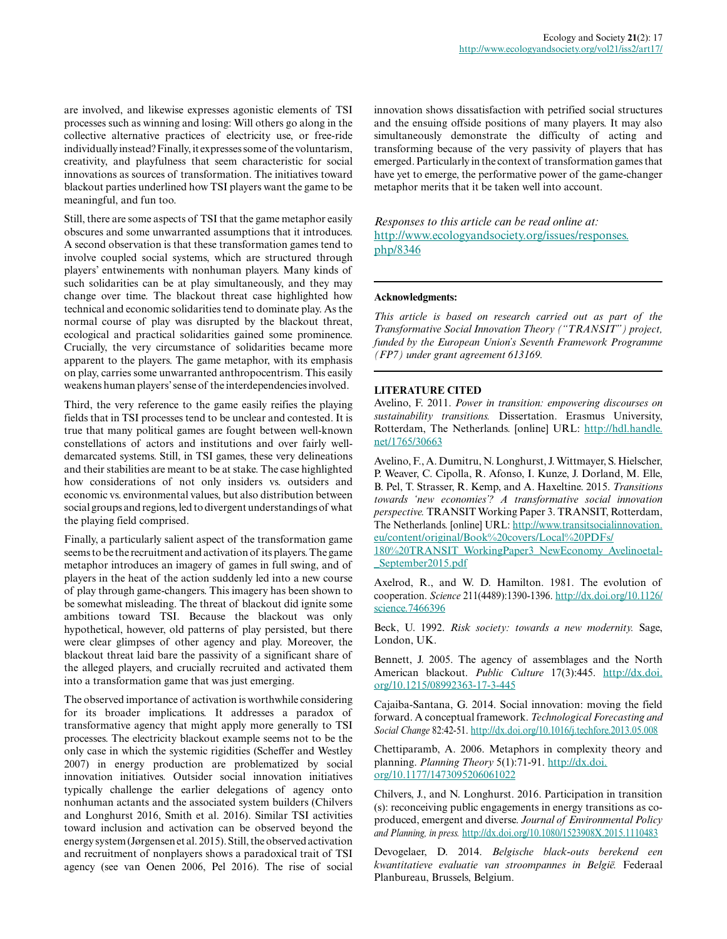are involved, and likewise expresses agonistic elements of TSI processes such as winning and losing: Will others go along in the collective alternative practices of electricity use, or free-ride individually instead? Finally, it expresses some of the voluntarism, creativity, and playfulness that seem characteristic for social innovations as sources of transformation. The initiatives toward blackout parties underlined how TSI players want the game to be meaningful, and fun too.

Still, there are some aspects of TSI that the game metaphor easily obscures and some unwarranted assumptions that it introduces. A second observation is that these transformation games tend to involve coupled social systems, which are structured through players' entwinements with nonhuman players. Many kinds of such solidarities can be at play simultaneously, and they may change over time. The blackout threat case highlighted how technical and economic solidarities tend to dominate play. As the normal course of play was disrupted by the blackout threat, ecological and practical solidarities gained some prominence. Crucially, the very circumstance of solidarities became more apparent to the players. The game metaphor, with its emphasis on play, carries some unwarranted anthropocentrism. This easily weakens human players' sense of the interdependencies involved.

Third, the very reference to the game easily reifies the playing fields that in TSI processes tend to be unclear and contested. It is true that many political games are fought between well-known constellations of actors and institutions and over fairly welldemarcated systems. Still, in TSI games, these very delineations and their stabilities are meant to be at stake. The case highlighted how considerations of not only insiders vs. outsiders and economic vs. environmental values, but also distribution between social groups and regions, led to divergent understandings of what the playing field comprised.

Finally, a particularly salient aspect of the transformation game seems to be the recruitment and activation of its players. The game metaphor introduces an imagery of games in full swing, and of players in the heat of the action suddenly led into a new course of play through game-changers. This imagery has been shown to be somewhat misleading. The threat of blackout did ignite some ambitions toward TSI. Because the blackout was only hypothetical, however, old patterns of play persisted, but there were clear glimpses of other agency and play. Moreover, the blackout threat laid bare the passivity of a significant share of the alleged players, and crucially recruited and activated them into a transformation game that was just emerging.

The observed importance of activation is worthwhile considering for its broader implications. It addresses a paradox of transformative agency that might apply more generally to TSI processes. The electricity blackout example seems not to be the only case in which the systemic rigidities (Scheffer and Westley 2007) in energy production are problematized by social innovation initiatives. Outsider social innovation initiatives typically challenge the earlier delegations of agency onto nonhuman actants and the associated system builders (Chilvers and Longhurst 2016, Smith et al. 2016). Similar TSI activities toward inclusion and activation can be observed beyond the energy system (Jørgensen et al. 2015). Still, the observed activation and recruitment of nonplayers shows a paradoxical trait of TSI agency (see van Oenen 2006, Pel 2016). The rise of social

innovation shows dissatisfaction with petrified social structures and the ensuing offside positions of many players. It may also simultaneously demonstrate the difficulty of acting and transforming because of the very passivity of players that has emerged. Particularly in the context of transformation games that have yet to emerge, the performative power of the game-changer metaphor merits that it be taken well into account.

# *Responses to this article can be read online at:* [http://www.ecologyandsociety.org/issues/responses.](http://www.ecologyandsociety.org/issues/responses.php/8346) [php/8346](http://www.ecologyandsociety.org/issues/responses.php/8346)

## **Acknowledgments:**

*This article is based on research carried out as part of the Transformative Social Innovation Theory ("TRANSIT") project, funded by the European Union's Seventh Framework Programme (FP7) under grant agreement 613169.*

## **LITERATURE CITED**

Avelino, F. 2011. *Power in transition: empowering discourses on sustainability transitions.* Dissertation. Erasmus University, Rotterdam, The Netherlands. [online] URL: [http://hdl.handle.](http://hdl.handle.net/1765/30663) [net/1765/30663](http://hdl.handle.net/1765/30663)

Avelino, F., A. Dumitru, N. Longhurst, J. Wittmayer, S. Hielscher, P. Weaver, C. Cipolla, R. Afonso, I. Kunze, J. Dorland, M. Elle, B. Pel, T. Strasser, R. Kemp, and A. Haxeltine. 2015. *Transitions towards 'new economies'? A transformative social innovation perspective.* TRANSIT Working Paper 3. TRANSIT, Rotterdam, The Netherlands. [online] URL: [http://www.transitsocialinnovation.](http://www.transitsocialinnovation.eu/content/original/Book%20covers/Local%20PDFs/180%20TRANSIT_WorkingPaper3_NewEconomy_Avelinoetal_September2015.pdf) [eu/content/original/Book%20covers/Local%20PDFs/](http://www.transitsocialinnovation.eu/content/original/Book%20covers/Local%20PDFs/180%20TRANSIT_WorkingPaper3_NewEconomy_Avelinoetal_September2015.pdf)

[180%20TRANSIT\\_WorkingPaper3\\_NewEconomy\\_Avelinoetal](http://www.transitsocialinnovation.eu/content/original/Book%20covers/Local%20PDFs/180%20TRANSIT_WorkingPaper3_NewEconomy_Avelinoetal_September2015.pdf) [\\_September2015.pdf](http://www.transitsocialinnovation.eu/content/original/Book%20covers/Local%20PDFs/180%20TRANSIT_WorkingPaper3_NewEconomy_Avelinoetal_September2015.pdf)

Axelrod, R., and W. D. Hamilton. 1981. The evolution of cooperation. *Science* 211(4489):1390-1396. [http://dx.doi.org/10.1126/](http://dx.doi.org/10.1126/science.7466396) [science.7466396](http://dx.doi.org/10.1126/science.7466396)

Beck, U. 1992. *Risk society: towards a new modernity.* Sage, London, UK.

Bennett, J. 2005. The agency of assemblages and the North American blackout. *Public Culture* 17(3):445. [http://dx.doi.](http://dx.doi.org/10.1215/08992363-17-3-445) [org/10.1215/08992363-17-3-445](http://dx.doi.org/10.1215/08992363-17-3-445)

Cajaiba-Santana, G. 2014. Social innovation: moving the field forward. A conceptual framework. *Technological Forecasting and Social Change* 82:42-51.<http://dx.doi.org/10.1016/j.techfore.2013.05.008>

Chettiparamb, A. 2006. Metaphors in complexity theory and planning. *Planning Theory* 5(1):71-91. [http://dx.doi.](http://dx.doi.org/10.1177/1473095206061022) [org/10.1177/1473095206061022](http://dx.doi.org/10.1177/1473095206061022)

Chilvers, J., and N. Longhurst. 2016. Participation in transition (s): reconceiving public engagements in energy transitions as coproduced, emergent and diverse. *Journal of Environmental Policy and Planning, in press.* <http://dx.doi.org/10.1080/1523908X.2015.1110483>

Devogelaer, D. 2014. *Belgische black-outs berekend een kwantitatieve evaluatie van stroompannes in België.* Federaal Planbureau, Brussels, Belgium.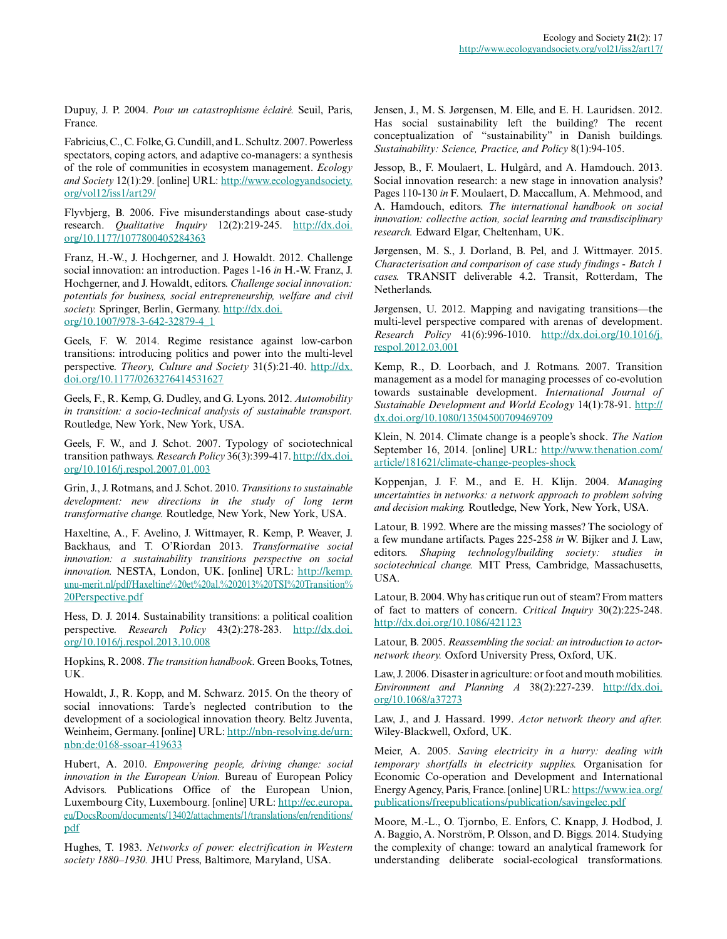Dupuy, J. P. 2004. *Pour un catastrophisme éclairé.* Seuil, Paris, France.

Fabricius, C., C. Folke, G. Cundill, and L. Schultz. 2007. Powerless spectators, coping actors, and adaptive co-managers: a synthesis of the role of communities in ecosystem management. *Ecology and Society* 12(1):29. [online] URL: [http://www.ecologyandsociety.](http://www.ecologyandsociety.org/vol12/iss1/art29/) [org/vol12/iss1/art29/](http://www.ecologyandsociety.org/vol12/iss1/art29/)

Flyvbjerg, B. 2006. Five misunderstandings about case-study research. *Qualitative Inquiry* 12(2):219-245. [http://dx.doi.](http://dx.doi.org/10.1177/1077800405284363) [org/10.1177/1077800405284363](http://dx.doi.org/10.1177/1077800405284363)

Franz, H.-W., J. Hochgerner, and J. Howaldt. 2012. Challenge social innovation: an introduction. Pages 1-16 *in* H.-W. Franz, J. Hochgerner, and J. Howaldt, editors. *Challenge social innovation: potentials for business, social entrepreneurship, welfare and civil society.* Springer, Berlin, Germany. [http://dx.doi.](http://dx.doi.org/10.1007/978-3-642-32879-4_1) [org/10.1007/978-3-642-32879-4\\_1](http://dx.doi.org/10.1007/978-3-642-32879-4_1) 

Geels, F. W. 2014. Regime resistance against low-carbon transitions: introducing politics and power into the multi-level perspective. *Theory, Culture and Society* 31(5):21-40. [http://dx.](http://dx.doi.org/10.1177/0263276414531627) [doi.org/10.1177/0263276414531627](http://dx.doi.org/10.1177/0263276414531627)

Geels, F., R. Kemp, G. Dudley, and G. Lyons. 2012. *Automobility in transition: a socio-technical analysis of sustainable transport.* Routledge, New York, New York, USA.

Geels, F. W., and J. Schot. 2007. Typology of sociotechnical transition pathways. *Research Policy* 36(3):399-417. [http://dx.doi.](http://dx.doi.org/10.1016/j.respol.2007.01.003) [org/10.1016/j.respol.2007.01.003](http://dx.doi.org/10.1016/j.respol.2007.01.003)

Grin, J., J. Rotmans, and J. Schot. 2010. *Transitions to sustainable development: new directions in the study of long term transformative change.* Routledge, New York, New York, USA.

Haxeltine, A., F. Avelino, J. Wittmayer, R. Kemp, P. Weaver, J. Backhaus, and T. O'Riordan 2013. *Transformative social innovation: a sustainability transitions perspective on social innovation.* NESTA, London, UK. [online] URL: [http://kemp.](http://kemp.unu-merit.nl/pdf/Haxeltine%20et%20al.%202013%20TSI%20Transition%20Perspective.pdf) [unu-merit.nl/pdf/Haxeltine%20et%20al.%202013%20TSI%20Transition%](http://kemp.unu-merit.nl/pdf/Haxeltine%20et%20al.%202013%20TSI%20Transition%20Perspective.pdf) [20Perspective.pdf](http://kemp.unu-merit.nl/pdf/Haxeltine%20et%20al.%202013%20TSI%20Transition%20Perspective.pdf)

Hess, D. J. 2014. Sustainability transitions: a political coalition perspective. *Research Policy* 43(2):278-283. [http://dx.doi.](http://dx.doi.org/10.1016/j.respol.2013.10.008) [org/10.1016/j.respol.2013.10.008](http://dx.doi.org/10.1016/j.respol.2013.10.008)

Hopkins, R. 2008. *The transition handbook.* Green Books, Totnes, UK.

Howaldt, J., R. Kopp, and M. Schwarz. 2015. On the theory of social innovations: Tarde's neglected contribution to the development of a sociological innovation theory. Beltz Juventa, Weinheim, Germany. [online] URL: [http://nbn-resolving.de/urn:](http://nbn-resolving.de/urn:nbn:de:0168-ssoar-419633) [nbn:de:0168-ssoar-419633](http://nbn-resolving.de/urn:nbn:de:0168-ssoar-419633)

Hubert, A. 2010. *Empowering people, driving change: social innovation in the European Union.* Bureau of European Policy Advisors. Publications Office of the European Union, Luxembourg City, Luxembourg. [online] URL: [http://ec.europa.](http://ec.europa.eu/DocsRoom/documents/13402/attachments/1/translations/en/renditions/pdf) [eu/DocsRoom/documents/13402/attachments/1/translations/en/renditions/](http://ec.europa.eu/DocsRoom/documents/13402/attachments/1/translations/en/renditions/pdf) [pdf](http://ec.europa.eu/DocsRoom/documents/13402/attachments/1/translations/en/renditions/pdf)

Hughes, T. 1983. *Networks of power: electrification in Western society 1880–1930.* JHU Press, Baltimore, Maryland, USA.

Jensen, J., M. S. Jørgensen, M. Elle, and E. H. Lauridsen. 2012. Has social sustainability left the building? The recent conceptualization of "sustainability" in Danish buildings. *Sustainability: Science, Practice, and Policy* 8(1):94-105.

Jessop, B., F. Moulaert, L. Hulgård, and A. Hamdouch. 2013. Social innovation research: a new stage in innovation analysis? Pages 110-130 *in* F. Moulaert, D. Maccallum, A. Mehmood, and A. Hamdouch, editors. *The international handbook on social innovation: collective action, social learning and transdisciplinary research.* Edward Elgar, Cheltenham, UK.

Jørgensen, M. S., J. Dorland, B. Pel, and J. Wittmayer. 2015. *Characterisation and comparison of case study findings - Batch 1 cases.* TRANSIT deliverable 4.2. Transit, Rotterdam, The Netherlands.

Jørgensen, U. 2012. Mapping and navigating transitions—the multi-level perspective compared with arenas of development. *Research Policy* 41(6):996-1010. [http://dx.doi.org/10.1016/j.](http://dx.doi.org/10.1016/j.respol.2012.03.001) [respol.2012.03.001](http://dx.doi.org/10.1016/j.respol.2012.03.001) 

Kemp, R., D. Loorbach, and J. Rotmans. 2007. Transition management as a model for managing processes of co-evolution towards sustainable development. *International Journal of Sustainable Development and World Ecology* 14(1):78-91. [http://](http://dx.doi.org/10.1080/13504500709469709) [dx.doi.org/10.1080/13504500709469709](http://dx.doi.org/10.1080/13504500709469709)

Klein, N. 2014. Climate change is a people's shock. *The Nation* September 16, 2014. [online] URL: [http://www.thenation.com/](http://www.thenation.com/article/181621/climate-change-peoples-shock) [article/181621/climate-change-peoples-shock](http://www.thenation.com/article/181621/climate-change-peoples-shock)

Koppenjan, J. F. M., and E. H. Klijn. 2004. *Managing uncertainties in networks: a network approach to problem solving and decision making.* Routledge, New York, New York, USA.

Latour, B. 1992. Where are the missing masses? The sociology of a few mundane artifacts. Pages 225-258 *in* W. Bijker and J. Law, editors. *Shaping technology/building society: studies in sociotechnical change.* MIT Press, Cambridge, Massachusetts, USA.

Latour, B. 2004. Why has critique run out of steam? From matters of fact to matters of concern. *Critical Inquiry* 30(2):225-248. <http://dx.doi.org/10.1086/421123>

Latour, B. 2005. *Reassembling the social: an introduction to actornetwork theory.* Oxford University Press, Oxford, UK.

Law, J. 2006. Disaster in agriculture: or foot and mouth mobilities. *Environment and Planning A* 38(2):227-239. [http://dx.doi.](http://dx.doi.org/10.1068/a37273) [org/10.1068/a37273](http://dx.doi.org/10.1068/a37273)

Law, J., and J. Hassard. 1999. *Actor network theory and after.* Wiley-Blackwell, Oxford, UK.

Meier, A. 2005. *Saving electricity in a hurry: dealing with temporary shortfalls in electricity supplies.* Organisation for Economic Co-operation and Development and International Energy Agency, Paris, France. [online] URL: [https://www.iea.org/](https://www.iea.org/publications/freepublications/publication/savingelec.pdf) [publications/freepublications/publication/savingelec.pdf](https://www.iea.org/publications/freepublications/publication/savingelec.pdf)

Moore, M.-L., O. Tjornbo, E. Enfors, C. Knapp, J. Hodbod, J. A. Baggio, A. Norström, P. Olsson, and D. Biggs. 2014. Studying the complexity of change: toward an analytical framework for understanding deliberate social-ecological transformations.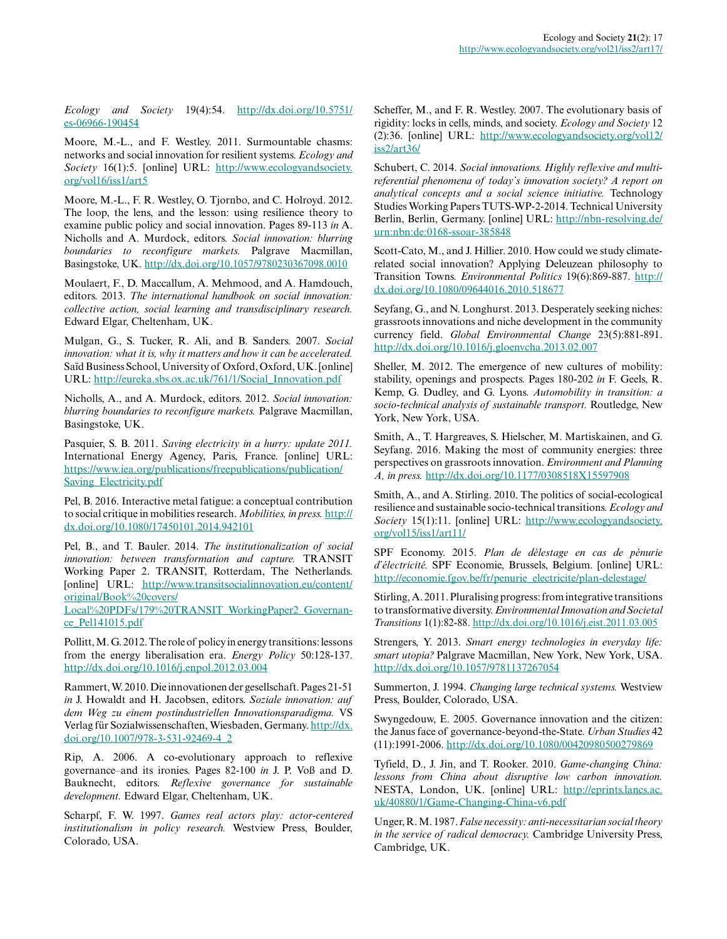*Ecology and Society* 19(4):54. [http://dx.doi.org/10.5751/](http://dx.doi.org/10.5751/es-06966-190454) [es-06966-190454](http://dx.doi.org/10.5751/es-06966-190454) 

Moore, M.-L., and F. Westley. 2011. Surmountable chasms: networks and social innovation for resilient systems. *Ecology and Society* 16(1):5. [online] URL: [http://www.ecologyandsociety.](http://www.ecologyandsociety.org/vol16/iss1/art5) [org/vol16/iss1/art5](http://www.ecologyandsociety.org/vol16/iss1/art5)

Moore, M.-L., F. R. Westley, O. Tjornbo, and C. Holroyd. 2012. The loop, the lens, and the lesson: using resilience theory to examine public policy and social innovation. Pages 89-113 *in* A. Nicholls and A. Murdock, editors. *Social innovation: blurring boundaries to reconfigure markets.* Palgrave Macmillan, Basingstoke, UK. <http://dx.doi.org/10.1057/9780230367098.0010>

Moulaert, F., D. Maccallum, A. Mehmood, and A. Hamdouch, editors. 2013. *The international handbook on social innovation: collective action, social learning and transdisciplinary research.* Edward Elgar, Cheltenham, UK.

Mulgan, G., S. Tucker, R. Ali, and B. Sanders. 2007. *Social innovation: what it is, why it matters and how it can be accelerated.* Saïd Business School, University of Oxford, Oxford, UK. [online] URL: [http://eureka.sbs.ox.ac.uk/761/1/Social\\_Innovation.pdf](http://eureka.sbs.ox.ac.uk/761/1/Social_Innovation.pdf)

Nicholls, A., and A. Murdock, editors. 2012. *Social innovation: blurring boundaries to reconfigure markets.* Palgrave Macmillan, Basingstoke, UK.

Pasquier, S. B. 2011. *Saving electricity in a hurry: update 2011.* International Energy Agency, Paris, France. [online] URL: [https://www.iea.org/publications/freepublications/publication/](https://www.iea.org/publications/freepublications/publication/Saving_Electricity.pdf) [Saving\\_Electricity.pdf](https://www.iea.org/publications/freepublications/publication/Saving_Electricity.pdf)

Pel, B. 2016. Interactive metal fatigue: a conceptual contribution to social critique in mobilities research. *Mobilities, in press.* [http://](http://dx.doi.org/10.1080/17450101.2014.942101) [dx.doi.org/10.1080/17450101.2014.942101](http://dx.doi.org/10.1080/17450101.2014.942101) 

Pel, B., and T. Bauler. 2014. *The institutionalization of social innovation: between transformation and capture.* TRANSIT Working Paper 2. TRANSIT, Rotterdam, The Netherlands. [online] URL: [http://www.transitsocialinnovation.eu/content/](http://www.transitsocialinnovation.eu/content/original/Book%20covers/Local%20PDFs/179%20TRANSIT_WorkingPaper2_Governance_Pel141015.pdf) [original/Book%20covers/](http://www.transitsocialinnovation.eu/content/original/Book%20covers/Local%20PDFs/179%20TRANSIT_WorkingPaper2_Governance_Pel141015.pdf)

[Local%20PDFs/179%20TRANSIT\\_WorkingPaper2\\_Governan](http://www.transitsocialinnovation.eu/content/original/Book%20covers/Local%20PDFs/179%20TRANSIT_WorkingPaper2_Governance_Pel141015.pdf)[ce\\_Pel141015.pdf](http://www.transitsocialinnovation.eu/content/original/Book%20covers/Local%20PDFs/179%20TRANSIT_WorkingPaper2_Governance_Pel141015.pdf)

Pollitt, M. G. 2012. The role of policy in energy transitions: lessons from the energy liberalisation era. *Energy Policy* 50:128-137. <http://dx.doi.org/10.1016/j.enpol.2012.03.004>

Rammert, W. 2010. Die innovationen der gesellschaft. Pages 21-51 *in* J. Howaldt and H. Jacobsen, editors. *Soziale innovation: auf dem Weg zu einem postindustriellen Innovationsparadigma.* VS Verlag für Sozialwissenschaften, Wiesbaden, Germany. [http://dx.](http://dx.doi.org/10.1007/978-3-531-92469-4_2) [doi.org/10.1007/978-3-531-92469-4\\_2](http://dx.doi.org/10.1007/978-3-531-92469-4_2)

Rip, A. 2006. A co-evolutionary approach to reflexive governance–and its ironies. Pages 82-100 *in* J. P. Voß and D. Bauknecht, editors. *Reflexive governance for sustainable development.* Edward Elgar, Cheltenham, UK.

Scharpf, F. W. 1997. *Games real actors play: actor-centered institutionalism in policy research.* Westview Press, Boulder, Colorado, USA.

Scheffer, M., and F. R. Westley. 2007. The evolutionary basis of rigidity: locks in cells, minds, and society. *Ecology and Society* 12 (2):36. [online] URL: [http://www.ecologyandsociety.org/vol12/](http://www.ecologyandsociety.org/vol12/iss2/art36/) [iss2/art36/](http://www.ecologyandsociety.org/vol12/iss2/art36/) 

Schubert, C. 2014. *Social innovations. Highly reflexive and multireferential phenomena of today's innovation society? A report on analytical concepts and a social science initiative.* Technology Studies Working Papers TUTS-WP-2-2014. Technical University Berlin, Berlin, Germany. [online] URL: [http://nbn-resolving.de/](http://nbn-resolving.de/urn:nbn:de:0168-ssoar-385848) [urn:nbn:de:0168-ssoar-385848](http://nbn-resolving.de/urn:nbn:de:0168-ssoar-385848)

Scott-Cato, M., and J. Hillier. 2010. How could we study climaterelated social innovation? Applying Deleuzean philosophy to Transition Towns. *Environmental Politics* 19(6):869-887. [http://](http://dx.doi.org/10.1080/09644016.2010.518677) [dx.doi.org/10.1080/09644016.2010.518677](http://dx.doi.org/10.1080/09644016.2010.518677) 

Seyfang, G., and N. Longhurst. 2013. Desperately seeking niches: grassroots innovations and niche development in the community currency field. *Global Environmental Change* 23(5):881-891. <http://dx.doi.org/10.1016/j.gloenvcha.2013.02.007>

Sheller, M. 2012. The emergence of new cultures of mobility: stability, openings and prospects. Pages 180-202 *in* F. Geels, R. Kemp, G. Dudley, and G. Lyons. *Automobility in transition: a socio-technical analysis of sustainable transport.* Routledge, New York, New York, USA.

Smith, A., T. Hargreaves, S. Hielscher, M. Martiskainen, and G. Seyfang. 2016. Making the most of community energies: three perspectives on grassroots innovation. *Environment and Planning A, in press.* <http://dx.doi.org/10.1177/0308518X15597908>

Smith, A., and A. Stirling. 2010. The politics of social-ecological resilience and sustainable socio-technical transitions. *Ecology and Society* 15(1):11. [online] URL: [http://www.ecologyandsociety.](http://www.ecologyandsociety.org/vol15/iss1/art11/) [org/vol15/iss1/art11/](http://www.ecologyandsociety.org/vol15/iss1/art11/)

SPF Economy. 2015. *Plan de délestage en cas de pénurie d'électricité.* SPF Economie, Brussels, Belgium. [online] URL: [http://economie.fgov.be/fr/penurie\\_electricite/plan-delestage/](http://economie.fgov.be/fr/penurie_electricite/plan-delestage/)

Stirling, A. 2011. Pluralising progress: from integrative transitions to transformative diversity. *Environmental Innovation and Societal Transitions* 1(1):82-88.<http://dx.doi.org/10.1016/j.eist.2011.03.005>

Strengers, Y. 2013. *Smart energy technologies in everyday life: smart utopia?* Palgrave Macmillan, New York, New York, USA. <http://dx.doi.org/10.1057/9781137267054>

Summerton, J. 1994. *Changing large technical systems.* Westview Press, Boulder, Colorado, USA.

Swyngedouw, E. 2005. Governance innovation and the citizen: the Janus face of governance-beyond-the-State. *Urban Studies* 42 (11):1991-2006.<http://dx.doi.org/10.1080/00420980500279869>

Tyfield, D., J. Jin, and T. Rooker. 2010. *Game-changing China: lessons from China about disruptive low carbon innovation.* NESTA, London, UK. [online] URL: [http://eprints.lancs.ac.](http://eprints.lancs.ac.uk/40880/1/Game-Changing-China-v6.pdf) [uk/40880/1/Game-Changing-China-v6.pdf](http://eprints.lancs.ac.uk/40880/1/Game-Changing-China-v6.pdf)

Unger, R. M. 1987. *False necessity: anti-necessitarian social theory in the service of radical democracy.* Cambridge University Press, Cambridge, UK.